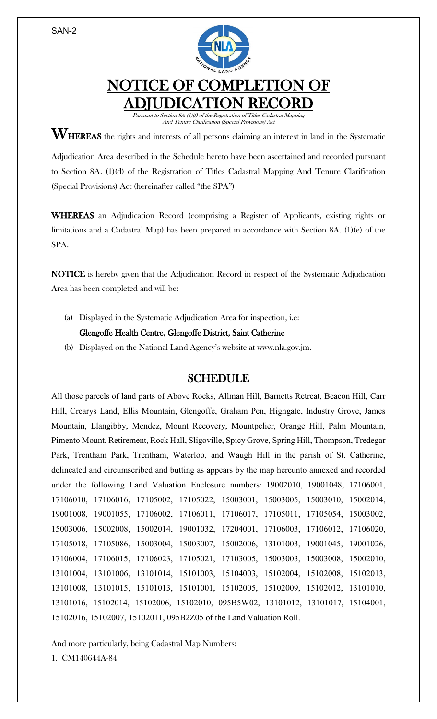SAN-2



## NOTICE OF COMPLETION OF ADJUDICATION RECORD

Pursuant to Section 8A (1)(f) of the Registration of Titles Cadastral Mapping And Tenure Clarification (Special Provisions) Act

 $\mathbf{W}_{\text{HEREAS}}$  the rights and interests of all persons claiming an interest in land in the Systematic

Adjudication Area described in the Schedule hereto have been ascertained and recorded pursuant to Section 8A. (1)(d) of the Registration of Titles Cadastral Mapping And Tenure Clarification (Special Provisions) Act (hereinafter called "the SPA")

WHEREAS an Adjudication Record (comprising a Register of Applicants, existing rights or limitations and a Cadastral Map) has been prepared in accordance with Section 8A. (1)(e) of the SPA.

NOTICE is hereby given that the Adjudication Record in respect of the Systematic Adjudication Area has been completed and will be:

(a) Displayed in the Systematic Adjudication Area for inspection, i.e:

## Glengoffe Health Centre, Glengoffe District, Saint Catherine

(b) Displayed on the National Land Agency's website at www.nla.gov.jm.

## SCHEDULE

All those parcels of land parts of Above Rocks, Allman Hill, Barnetts Retreat, Beacon Hill, Carr Hill, Crearys Land, Ellis Mountain, Glengoffe, Graham Pen, Highgate, Industry Grove, James Mountain, Llangibby, Mendez, Mount Recovery, Mountpelier, Orange Hill, Palm Mountain, Pimento Mount, Retirement, Rock Hall, Sligoville, Spicy Grove, Spring Hill, Thompson, Tredegar Park, Trentham Park, Trentham, Waterloo, and Waugh Hill in the parish of St. Catherine, delineated and circumscribed and butting as appears by the map hereunto annexed and recorded under the following Land Valuation Enclosure numbers: 19002010, 19001048, 17106001, 17106010, 17106016, 17105002, 17105022, 15003001, 15003005, 15003010, 15002014, 19001008, 19001055, 17106002, 17106011, 17106017, 17105011, 17105054, 15003002, 15003006, 15002008, 15002014, 19001032, 17204001, 17106003, 17106012, 17106020, 17105018, 17105086, 15003004, 15003007, 15002006, 13101003, 19001045, 19001026, 17106004, 17106015, 17106023, 17105021, 17103005, 15003003, 15003008, 15002010, 13101004, 13101006, 13101014, 15101003, 15104003, 15102004, 15102008, 15102013, 13101008, 13101015, 15101013, 15101001, 15102005, 15102009, 15102012, 13101010, 13101016, 15102014, 15102006, 15102010, 095B5W02, 13101012, 13101017, 15104001, 15102016, 15102007, 15102011, 095B2Z05 of the Land Valuation Roll.

And more particularly, being Cadastral Map Numbers:

1. CM140644A-84